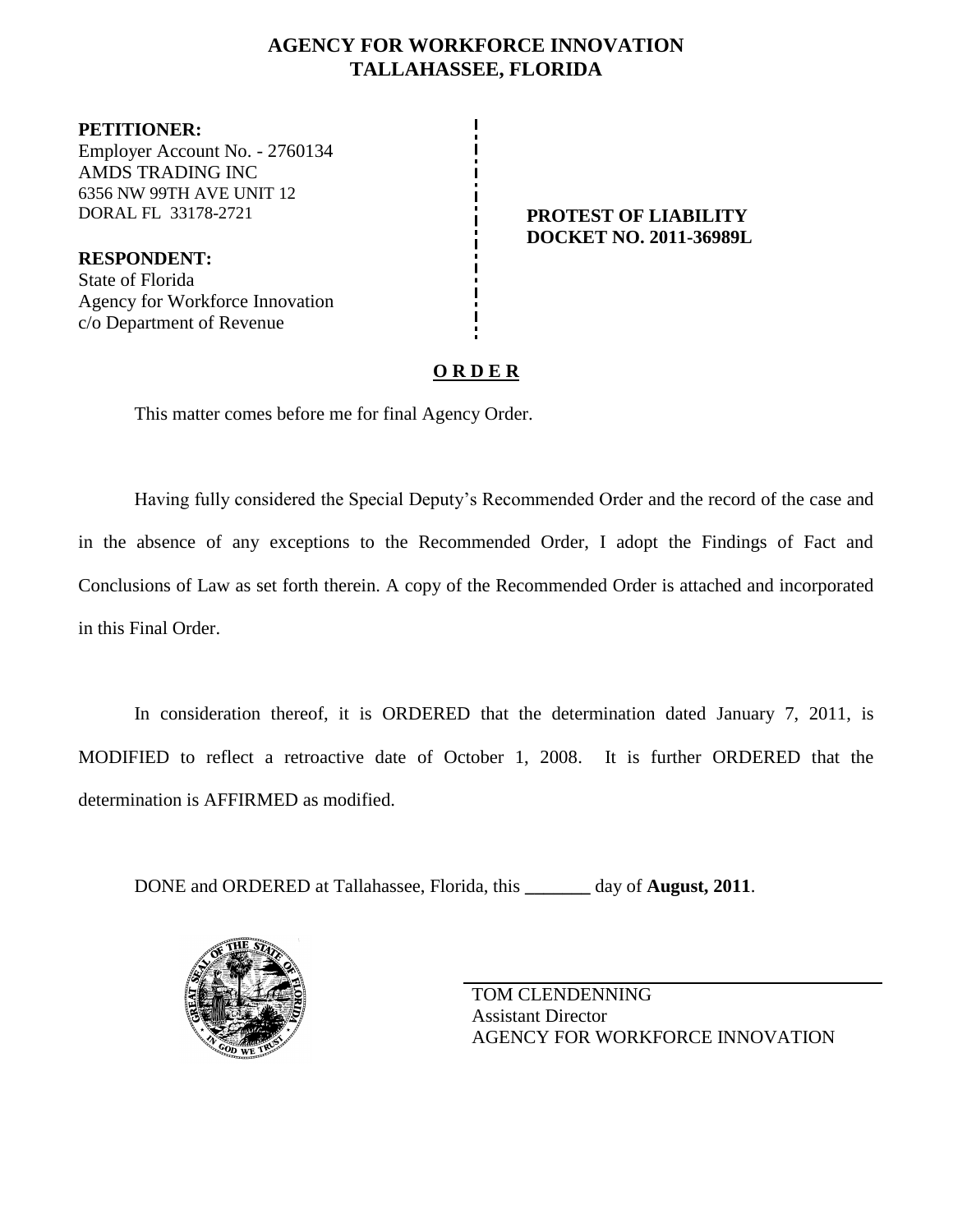# **AGENCY FOR WORKFORCE INNOVATION TALLAHASSEE, FLORIDA**

**PETITIONER:** Employer Account No. - 2760134 AMDS TRADING INC 6356 NW 99TH AVE UNIT 12 DORAL FL 33178-2721 **PROTEST OF LIABILITY**

**RESPONDENT:** State of Florida Agency for Workforce Innovation c/o Department of Revenue

**DOCKET NO. 2011-36989L**

# **O R D E R**

This matter comes before me for final Agency Order.

Having fully considered the Special Deputy's Recommended Order and the record of the case and in the absence of any exceptions to the Recommended Order, I adopt the Findings of Fact and Conclusions of Law as set forth therein. A copy of the Recommended Order is attached and incorporated in this Final Order.

In consideration thereof, it is ORDERED that the determination dated January 7, 2011, is MODIFIED to reflect a retroactive date of October 1, 2008. It is further ORDERED that the determination is AFFIRMED as modified.

DONE and ORDERED at Tallahassee, Florida, this **\_\_\_\_\_\_\_** day of **August, 2011**.



TOM CLENDENNING Assistant Director AGENCY FOR WORKFORCE INNOVATION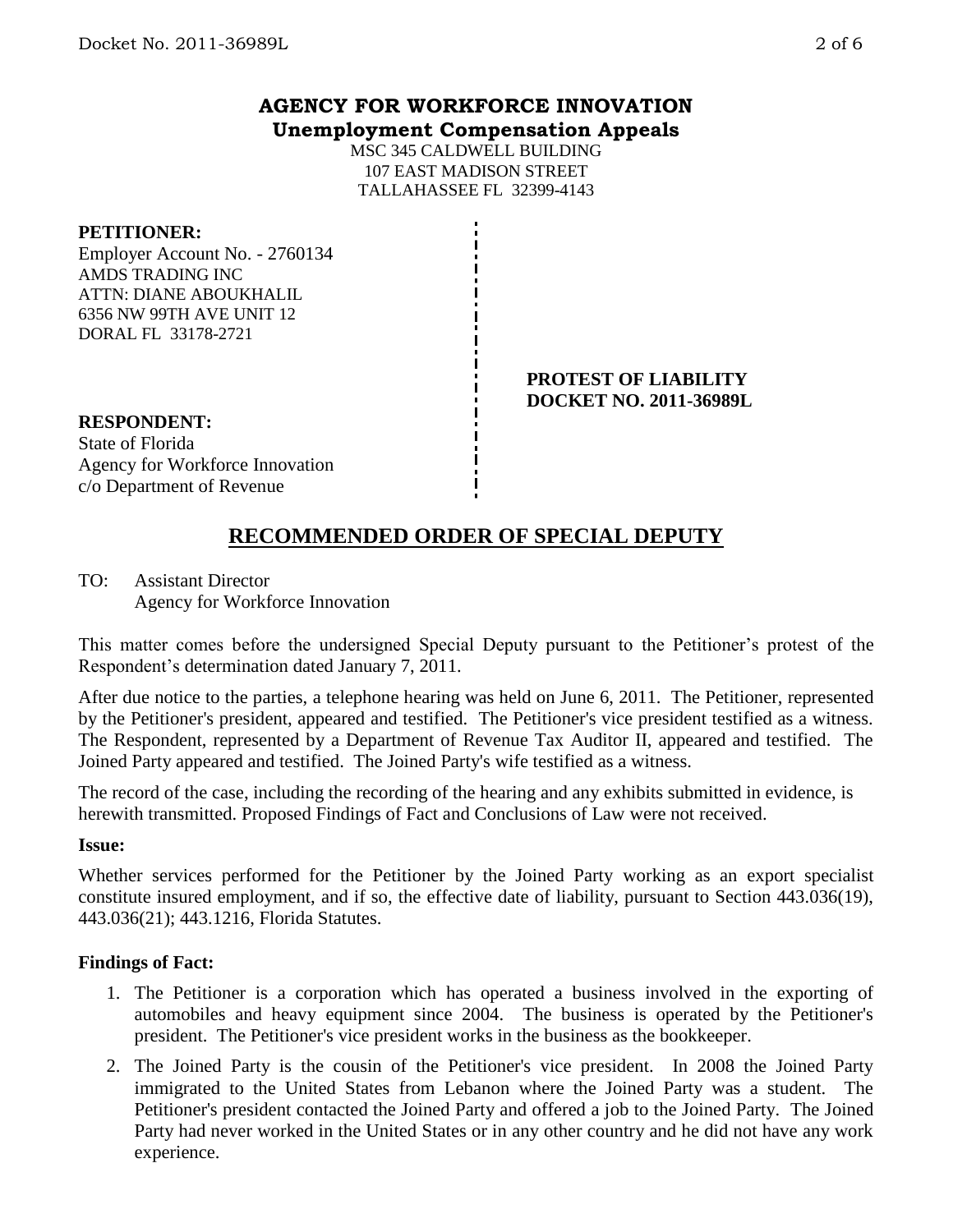## **AGENCY FOR WORKFORCE INNOVATION Unemployment Compensation Appeals**

MSC 345 CALDWELL BUILDING 107 EAST MADISON STREET TALLAHASSEE FL 32399-4143

## **PETITIONER:**

Employer Account No. - 2760134 AMDS TRADING INC ATTN: DIANE ABOUKHALIL 6356 NW 99TH AVE UNIT 12 DORAL FL 33178-2721

#### **PROTEST OF LIABILITY DOCKET NO. 2011-36989L**

**RESPONDENT:** State of Florida Agency for Workforce Innovation c/o Department of Revenue

# **RECOMMENDED ORDER OF SPECIAL DEPUTY**

TO: Assistant Director Agency for Workforce Innovation

This matter comes before the undersigned Special Deputy pursuant to the Petitioner's protest of the Respondent's determination dated January 7, 2011.

After due notice to the parties, a telephone hearing was held on June 6, 2011. The Petitioner, represented by the Petitioner's president, appeared and testified. The Petitioner's vice president testified as a witness. The Respondent, represented by a Department of Revenue Tax Auditor II, appeared and testified. The Joined Party appeared and testified. The Joined Party's wife testified as a witness.

The record of the case, including the recording of the hearing and any exhibits submitted in evidence, is herewith transmitted. Proposed Findings of Fact and Conclusions of Law were not received.

#### **Issue:**

Whether services performed for the Petitioner by the Joined Party working as an export specialist constitute insured employment, and if so, the effective date of liability, pursuant to Section 443.036(19), 443.036(21); 443.1216, Florida Statutes.

#### **Findings of Fact:**

- 1. The Petitioner is a corporation which has operated a business involved in the exporting of automobiles and heavy equipment since 2004. The business is operated by the Petitioner's president. The Petitioner's vice president works in the business as the bookkeeper.
- 2. The Joined Party is the cousin of the Petitioner's vice president. In 2008 the Joined Party immigrated to the United States from Lebanon where the Joined Party was a student. The Petitioner's president contacted the Joined Party and offered a job to the Joined Party. The Joined Party had never worked in the United States or in any other country and he did not have any work experience.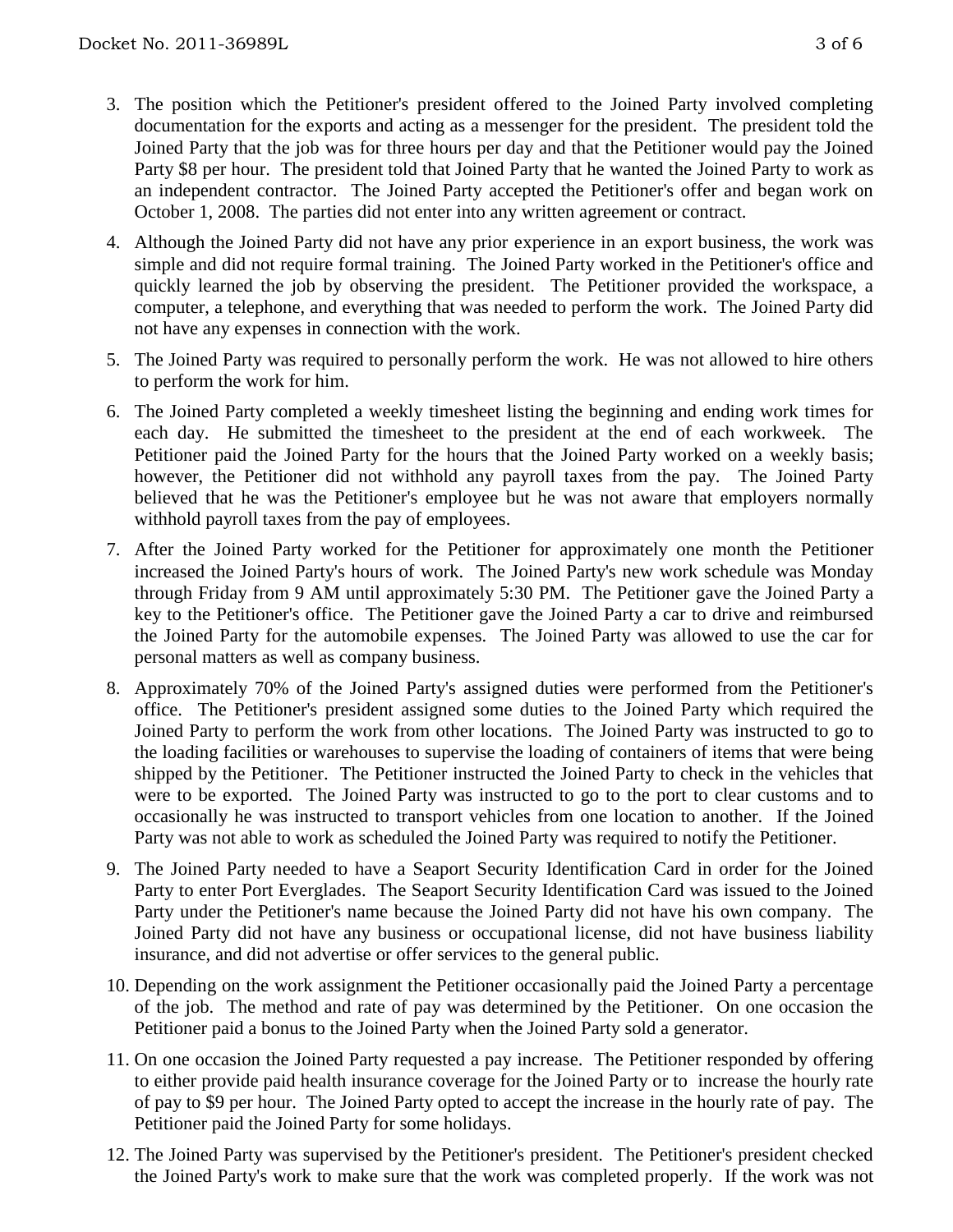- 3. The position which the Petitioner's president offered to the Joined Party involved completing documentation for the exports and acting as a messenger for the president. The president told the Joined Party that the job was for three hours per day and that the Petitioner would pay the Joined Party \$8 per hour. The president told that Joined Party that he wanted the Joined Party to work as an independent contractor. The Joined Party accepted the Petitioner's offer and began work on October 1, 2008. The parties did not enter into any written agreement or contract.
- 4. Although the Joined Party did not have any prior experience in an export business, the work was simple and did not require formal training. The Joined Party worked in the Petitioner's office and quickly learned the job by observing the president. The Petitioner provided the workspace, a computer, a telephone, and everything that was needed to perform the work. The Joined Party did not have any expenses in connection with the work.
- 5. The Joined Party was required to personally perform the work. He was not allowed to hire others to perform the work for him.
- 6. The Joined Party completed a weekly timesheet listing the beginning and ending work times for each day. He submitted the timesheet to the president at the end of each workweek. The Petitioner paid the Joined Party for the hours that the Joined Party worked on a weekly basis; however, the Petitioner did not withhold any payroll taxes from the pay. The Joined Party believed that he was the Petitioner's employee but he was not aware that employers normally withhold payroll taxes from the pay of employees.
- 7. After the Joined Party worked for the Petitioner for approximately one month the Petitioner increased the Joined Party's hours of work. The Joined Party's new work schedule was Monday through Friday from 9 AM until approximately 5:30 PM. The Petitioner gave the Joined Party a key to the Petitioner's office. The Petitioner gave the Joined Party a car to drive and reimbursed the Joined Party for the automobile expenses. The Joined Party was allowed to use the car for personal matters as well as company business.
- 8. Approximately 70% of the Joined Party's assigned duties were performed from the Petitioner's office. The Petitioner's president assigned some duties to the Joined Party which required the Joined Party to perform the work from other locations. The Joined Party was instructed to go to the loading facilities or warehouses to supervise the loading of containers of items that were being shipped by the Petitioner. The Petitioner instructed the Joined Party to check in the vehicles that were to be exported. The Joined Party was instructed to go to the port to clear customs and to occasionally he was instructed to transport vehicles from one location to another. If the Joined Party was not able to work as scheduled the Joined Party was required to notify the Petitioner.
- 9. The Joined Party needed to have a Seaport Security Identification Card in order for the Joined Party to enter Port Everglades. The Seaport Security Identification Card was issued to the Joined Party under the Petitioner's name because the Joined Party did not have his own company. The Joined Party did not have any business or occupational license, did not have business liability insurance, and did not advertise or offer services to the general public.
- 10. Depending on the work assignment the Petitioner occasionally paid the Joined Party a percentage of the job. The method and rate of pay was determined by the Petitioner. On one occasion the Petitioner paid a bonus to the Joined Party when the Joined Party sold a generator.
- 11. On one occasion the Joined Party requested a pay increase. The Petitioner responded by offering to either provide paid health insurance coverage for the Joined Party or to increase the hourly rate of pay to \$9 per hour. The Joined Party opted to accept the increase in the hourly rate of pay. The Petitioner paid the Joined Party for some holidays.
- 12. The Joined Party was supervised by the Petitioner's president. The Petitioner's president checked the Joined Party's work to make sure that the work was completed properly. If the work was not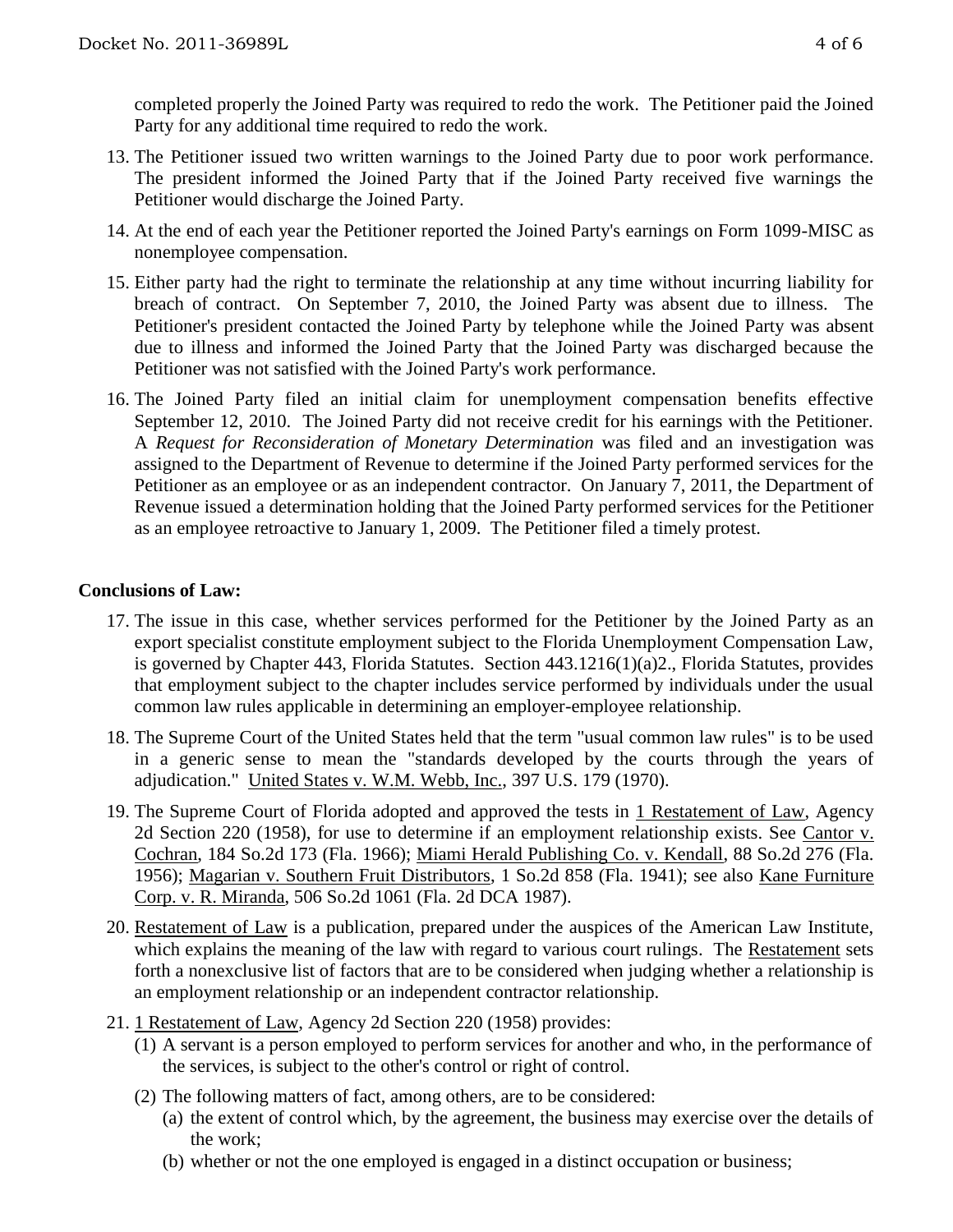completed properly the Joined Party was required to redo the work. The Petitioner paid the Joined Party for any additional time required to redo the work.

- 13. The Petitioner issued two written warnings to the Joined Party due to poor work performance. The president informed the Joined Party that if the Joined Party received five warnings the Petitioner would discharge the Joined Party.
- 14. At the end of each year the Petitioner reported the Joined Party's earnings on Form 1099-MISC as nonemployee compensation.
- 15. Either party had the right to terminate the relationship at any time without incurring liability for breach of contract. On September 7, 2010, the Joined Party was absent due to illness. The Petitioner's president contacted the Joined Party by telephone while the Joined Party was absent due to illness and informed the Joined Party that the Joined Party was discharged because the Petitioner was not satisfied with the Joined Party's work performance.
- 16. The Joined Party filed an initial claim for unemployment compensation benefits effective September 12, 2010. The Joined Party did not receive credit for his earnings with the Petitioner. A *Request for Reconsideration of Monetary Determination* was filed and an investigation was assigned to the Department of Revenue to determine if the Joined Party performed services for the Petitioner as an employee or as an independent contractor. On January 7, 2011, the Department of Revenue issued a determination holding that the Joined Party performed services for the Petitioner as an employee retroactive to January 1, 2009. The Petitioner filed a timely protest.

## **Conclusions of Law:**

- 17. The issue in this case, whether services performed for the Petitioner by the Joined Party as an export specialist constitute employment subject to the Florida Unemployment Compensation Law, is governed by Chapter 443, Florida Statutes. Section 443.1216(1)(a)2., Florida Statutes, provides that employment subject to the chapter includes service performed by individuals under the usual common law rules applicable in determining an employer-employee relationship.
- 18. The Supreme Court of the United States held that the term "usual common law rules" is to be used in a generic sense to mean the "standards developed by the courts through the years of adjudication." United States v. W.M. Webb, Inc., 397 U.S. 179 (1970).
- 19. The Supreme Court of Florida adopted and approved the tests in 1 Restatement of Law, Agency 2d Section 220 (1958), for use to determine if an employment relationship exists. See Cantor v. Cochran, 184 So.2d 173 (Fla. 1966); Miami Herald Publishing Co. v. Kendall, 88 So.2d 276 (Fla. 1956); Magarian v. Southern Fruit Distributors, 1 So.2d 858 (Fla. 1941); see also Kane Furniture Corp. v. R. Miranda, 506 So.2d 1061 (Fla. 2d DCA 1987).
- 20. Restatement of Law is a publication, prepared under the auspices of the American Law Institute, which explains the meaning of the law with regard to various court rulings. The Restatement sets forth a nonexclusive list of factors that are to be considered when judging whether a relationship is an employment relationship or an independent contractor relationship.
- 21. 1 Restatement of Law, Agency 2d Section 220 (1958) provides:
	- (1) A servant is a person employed to perform services for another and who, in the performance of the services, is subject to the other's control or right of control.
	- (2) The following matters of fact, among others, are to be considered:
		- (a) the extent of control which, by the agreement, the business may exercise over the details of the work;
		- (b) whether or not the one employed is engaged in a distinct occupation or business;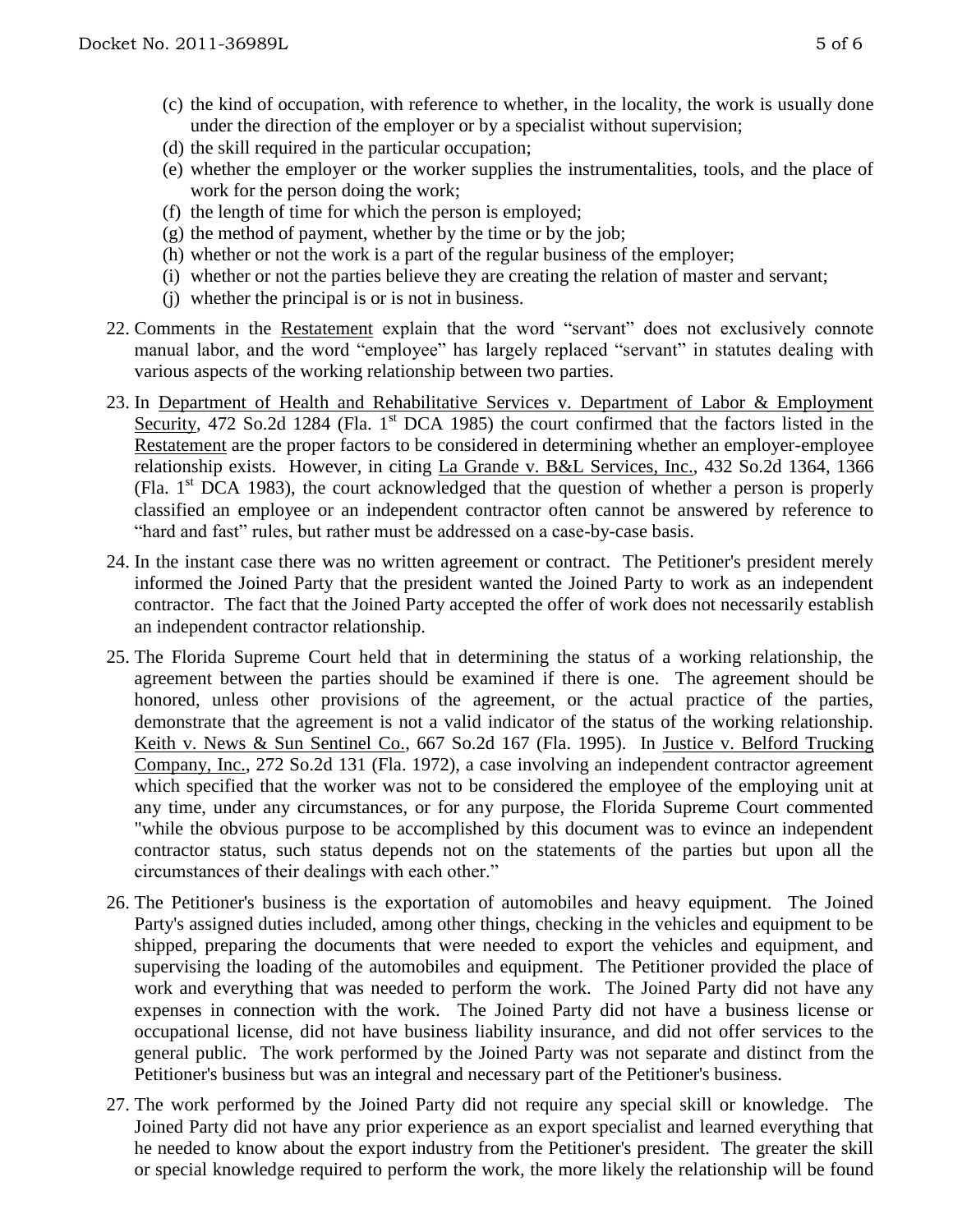- (d) the skill required in the particular occupation;
- (e) whether the employer or the worker supplies the instrumentalities, tools, and the place of work for the person doing the work;
- (f) the length of time for which the person is employed;
- (g) the method of payment, whether by the time or by the job;
- (h) whether or not the work is a part of the regular business of the employer;
- (i) whether or not the parties believe they are creating the relation of master and servant;
- (j) whether the principal is or is not in business.
- 22. Comments in the Restatement explain that the word "servant" does not exclusively connote manual labor, and the word "employee" has largely replaced "servant" in statutes dealing with various aspects of the working relationship between two parties.
- 23. In Department of Health and Rehabilitative Services v. Department of Labor & Employment Security, 472 So.2d 1284 (Fla. 1<sup>st</sup> DCA 1985) the court confirmed that the factors listed in the Restatement are the proper factors to be considered in determining whether an employer-employee relationship exists. However, in citing La Grande v. B&L Services, Inc., 432 So.2d 1364, 1366 (Fla.  $1<sup>st</sup> DCA$  1983), the court acknowledged that the question of whether a person is properly classified an employee or an independent contractor often cannot be answered by reference to "hard and fast" rules, but rather must be addressed on a case-by-case basis.
- 24. In the instant case there was no written agreement or contract. The Petitioner's president merely informed the Joined Party that the president wanted the Joined Party to work as an independent contractor. The fact that the Joined Party accepted the offer of work does not necessarily establish an independent contractor relationship.
- 25. The Florida Supreme Court held that in determining the status of a working relationship, the agreement between the parties should be examined if there is one. The agreement should be honored, unless other provisions of the agreement, or the actual practice of the parties, demonstrate that the agreement is not a valid indicator of the status of the working relationship. Keith v. News & Sun Sentinel Co., 667 So.2d 167 (Fla. 1995). In Justice v. Belford Trucking Company, Inc., 272 So.2d 131 (Fla. 1972), a case involving an independent contractor agreement which specified that the worker was not to be considered the employee of the employing unit at any time, under any circumstances, or for any purpose, the Florida Supreme Court commented "while the obvious purpose to be accomplished by this document was to evince an independent contractor status, such status depends not on the statements of the parties but upon all the circumstances of their dealings with each other."
- 26. The Petitioner's business is the exportation of automobiles and heavy equipment. The Joined Party's assigned duties included, among other things, checking in the vehicles and equipment to be shipped, preparing the documents that were needed to export the vehicles and equipment, and supervising the loading of the automobiles and equipment. The Petitioner provided the place of work and everything that was needed to perform the work. The Joined Party did not have any expenses in connection with the work. The Joined Party did not have a business license or occupational license, did not have business liability insurance, and did not offer services to the general public. The work performed by the Joined Party was not separate and distinct from the Petitioner's business but was an integral and necessary part of the Petitioner's business.
- 27. The work performed by the Joined Party did not require any special skill or knowledge. The Joined Party did not have any prior experience as an export specialist and learned everything that he needed to know about the export industry from the Petitioner's president. The greater the skill or special knowledge required to perform the work, the more likely the relationship will be found